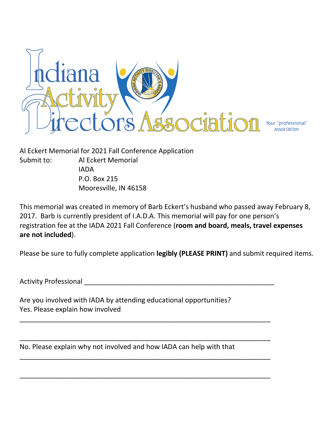

Al Eckert Memorial for 2021 Fall Conference Application Submit to: Al Eckert Memorial IADA P.O. Box 215 Mooresville, IN 46158

This memorial was created in memory of Barb Eckert's husband who passed away February 8, 2017. Barb is currently president of I.A.D.A. This memorial will pay for one person's registration fee at the IADA 2021 Fall Conference (**room and board, meals, travel expenses are not included**).

Please be sure to fully complete application **legibly (PLEASE PRINT)** and submit required items.

Activity Professional \_\_\_\_\_\_\_\_\_\_\_\_\_\_\_\_\_\_\_\_\_\_\_\_\_\_\_\_\_\_\_\_\_\_\_\_\_\_\_\_\_\_\_\_\_\_\_\_\_\_

Are you involved with IADA by attending educational opportunities? Yes. Please explain how involved

\_\_\_\_\_\_\_\_\_\_\_\_\_\_\_\_\_\_\_\_\_\_\_\_\_\_\_\_\_\_\_\_\_\_\_\_\_\_\_\_\_\_\_\_\_\_\_\_\_\_\_\_\_\_\_\_\_\_\_\_\_\_\_\_\_\_

\_\_\_\_\_\_\_\_\_\_\_\_\_\_\_\_\_\_\_\_\_\_\_\_\_\_\_\_\_\_\_\_\_\_\_\_\_\_\_\_\_\_\_\_\_\_\_\_\_\_\_\_\_\_\_\_\_\_\_\_\_\_\_\_\_\_

\_\_\_\_\_\_\_\_\_\_\_\_\_\_\_\_\_\_\_\_\_\_\_\_\_\_\_\_\_\_\_\_\_\_\_\_\_\_\_\_\_\_\_\_\_\_\_\_\_\_\_\_\_\_\_\_\_\_\_\_\_\_\_\_\_\_

\_\_\_\_\_\_\_\_\_\_\_\_\_\_\_\_\_\_\_\_\_\_\_\_\_\_\_\_\_\_\_\_\_\_\_\_\_\_\_\_\_\_\_\_\_\_\_\_\_\_\_\_\_\_\_\_\_\_\_\_\_\_\_\_\_\_

No. Please explain why not involved and how IADA can help with that